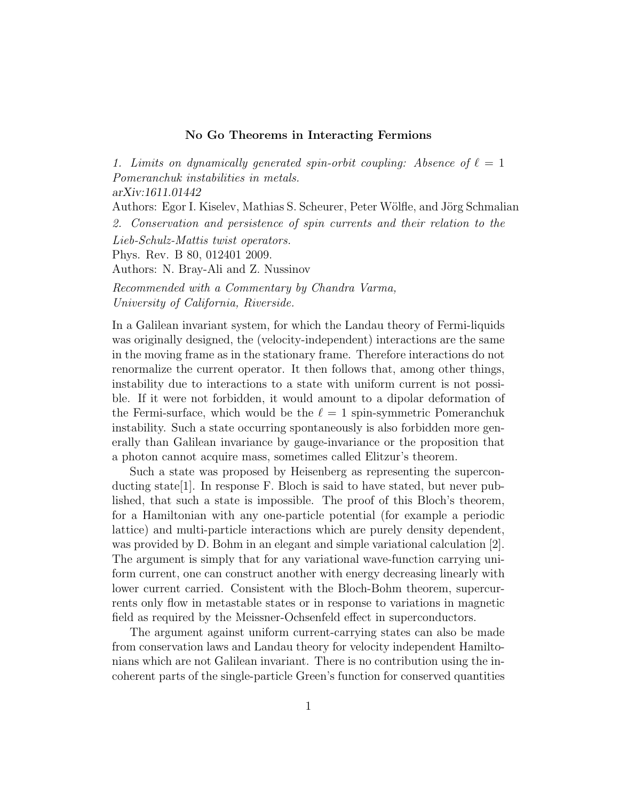## No Go Theorems in Interacting Fermions

1. Limits on dynamically generated spin-orbit coupling: Absence of  $\ell = 1$ Pomeranchuk instabilities in metals. arXiv:1611.01442 Authors: Egor I. Kiselev, Mathias S. Scheurer, Peter Wölfle, and Jörg Schmalian 2. Conservation and persistence of spin currents and their relation to the Lieb-Schulz-Mattis twist operators. Phys. Rev. B 80, 012401 2009. Authors: N. Bray-Ali and Z. Nussinov

Recommended with a Commentary by Chandra Varma, University of California, Riverside.

In a Galilean invariant system, for which the Landau theory of Fermi-liquids was originally designed, the (velocity-independent) interactions are the same in the moving frame as in the stationary frame. Therefore interactions do not renormalize the current operator. It then follows that, among other things, instability due to interactions to a state with uniform current is not possible. If it were not forbidden, it would amount to a dipolar deformation of the Fermi-surface, which would be the  $\ell = 1$  spin-symmetric Pomeranchuk instability. Such a state occurring spontaneously is also forbidden more generally than Galilean invariance by gauge-invariance or the proposition that a photon cannot acquire mass, sometimes called Elitzur's theorem.

Such a state was proposed by Heisenberg as representing the superconducting state[1]. In response F. Bloch is said to have stated, but never published, that such a state is impossible. The proof of this Bloch's theorem, for a Hamiltonian with any one-particle potential (for example a periodic lattice) and multi-particle interactions which are purely density dependent, was provided by D. Bohm in an elegant and simple variational calculation [2]. The argument is simply that for any variational wave-function carrying uniform current, one can construct another with energy decreasing linearly with lower current carried. Consistent with the Bloch-Bohm theorem, supercurrents only flow in metastable states or in response to variations in magnetic field as required by the Meissner-Ochsenfeld effect in superconductors.

The argument against uniform current-carrying states can also be made from conservation laws and Landau theory for velocity independent Hamiltonians which are not Galilean invariant. There is no contribution using the incoherent parts of the single-particle Green's function for conserved quantities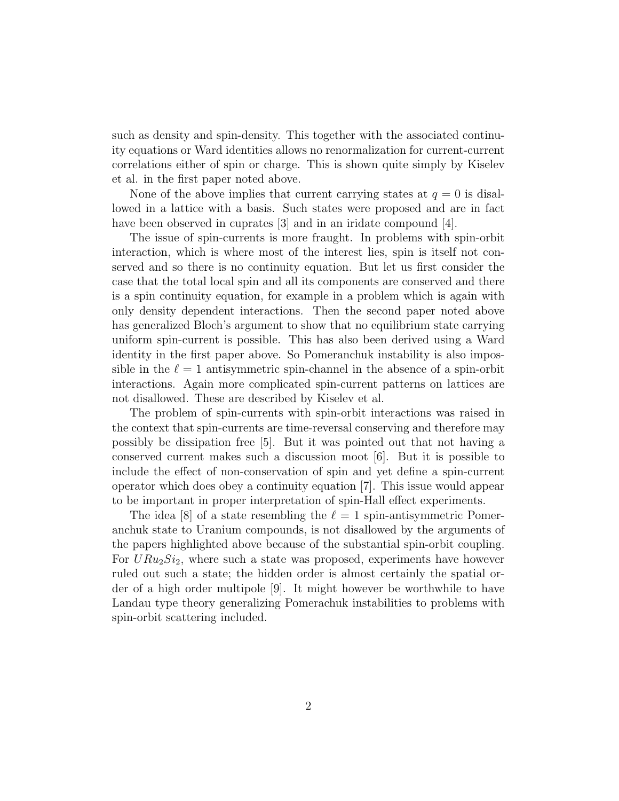such as density and spin-density. This together with the associated continuity equations or Ward identities allows no renormalization for current-current correlations either of spin or charge. This is shown quite simply by Kiselev et al. in the first paper noted above.

None of the above implies that current carrying states at  $q = 0$  is disallowed in a lattice with a basis. Such states were proposed and are in fact have been observed in cuprates [3] and in an iridate compound [4].

The issue of spin-currents is more fraught. In problems with spin-orbit interaction, which is where most of the interest lies, spin is itself not conserved and so there is no continuity equation. But let us first consider the case that the total local spin and all its components are conserved and there is a spin continuity equation, for example in a problem which is again with only density dependent interactions. Then the second paper noted above has generalized Bloch's argument to show that no equilibrium state carrying uniform spin-current is possible. This has also been derived using a Ward identity in the first paper above. So Pomeranchuk instability is also impossible in the  $\ell = 1$  antisymmetric spin-channel in the absence of a spin-orbit interactions. Again more complicated spin-current patterns on lattices are not disallowed. These are described by Kiselev et al.

The problem of spin-currents with spin-orbit interactions was raised in the context that spin-currents are time-reversal conserving and therefore may possibly be dissipation free [5]. But it was pointed out that not having a conserved current makes such a discussion moot [6]. But it is possible to include the effect of non-conservation of spin and yet define a spin-current operator which does obey a continuity equation [7]. This issue would appear to be important in proper interpretation of spin-Hall effect experiments.

The idea [8] of a state resembling the  $\ell = 1$  spin-antisymmetric Pomeranchuk state to Uranium compounds, is not disallowed by the arguments of the papers highlighted above because of the substantial spin-orbit coupling. For  $URu_2Si_2$ , where such a state was proposed, experiments have however ruled out such a state; the hidden order is almost certainly the spatial order of a high order multipole [9]. It might however be worthwhile to have Landau type theory generalizing Pomerachuk instabilities to problems with spin-orbit scattering included.